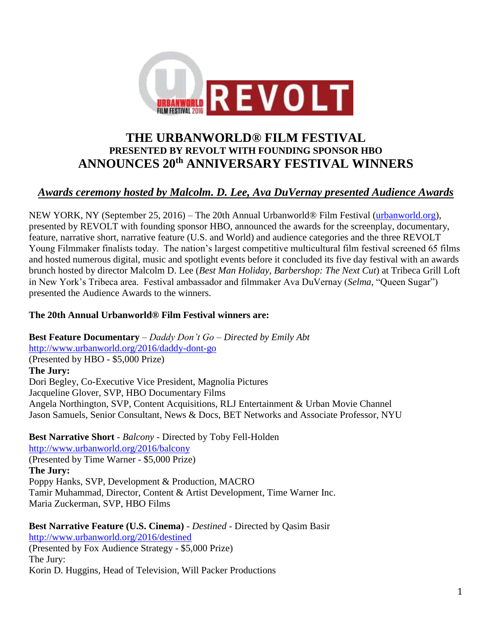

# **THE URBANWORLD® FILM FESTIVAL PRESENTED BY REVOLT WITH FOUNDING SPONSOR HBO ANNOUNCES 20th ANNIVERSARY FESTIVAL WINNERS**

# *Awards ceremony hosted by Malcolm. D. Lee, Ava DuVernay presented Audience Awards*

NEW YORK, NY (September 25, 2016) – The 20th Annual Urbanworld® Film Festival [\(urbanworld.org\)](http://www.urbanworld.org/), presented by REVOLT with founding sponsor HBO, announced the awards for the screenplay, documentary, feature, narrative short, narrative feature (U.S. and World) and audience categories and the three REVOLT Young Filmmaker finalists today. The nation's largest competitive multicultural film festival screened 65 films and hosted numerous digital, music and spotlight events before it concluded its five day festival with an awards brunch hosted by director Malcolm D. Lee (*Best Man Holiday, Barbershop: The Next Cut*) at Tribeca Grill Loft in New York's Tribeca area. Festival ambassador and filmmaker Ava DuVernay (*Selma,* "Queen Sugar") presented the Audience Awards to the winners.

#### **The 20th Annual Urbanworld® Film Festival winners are:**

**Best Feature Documentary** – *Daddy Don't Go – Directed by Emily Abt* <http://www.urbanworld.org/2016/daddy-dont-go> (Presented by HBO - \$5,000 Prize) **The Jury:** Dori Begley, Co-Executive Vice President, Magnolia Pictures Jacqueline Glover, SVP, HBO Documentary Films Angela Northington, SVP, Content Acquisitions, RLJ Entertainment & Urban Movie Channel Jason Samuels, Senior Consultant, News & Docs, BET Networks and Associate Professor, NYU

**Best Narrative Short** - *Balcony* - Directed by Toby Fell-Holden <http://www.urbanworld.org/2016/balcony> (Presented by Time Warner - \$5,000 Prize) **The Jury:** Poppy Hanks, SVP, Development & Production, MACRO Tamir Muhammad, Director, Content & Artist Development, Time Warner Inc. Maria Zuckerman, SVP, HBO Films

**Best Narrative Feature (U.S. Cinema)** - *Destined* - Directed by Qasim Basir <http://www.urbanworld.org/2016/destined> (Presented by Fox Audience Strategy - \$5,000 Prize) The Jury: Korin D. Huggins, Head of Television, Will Packer Productions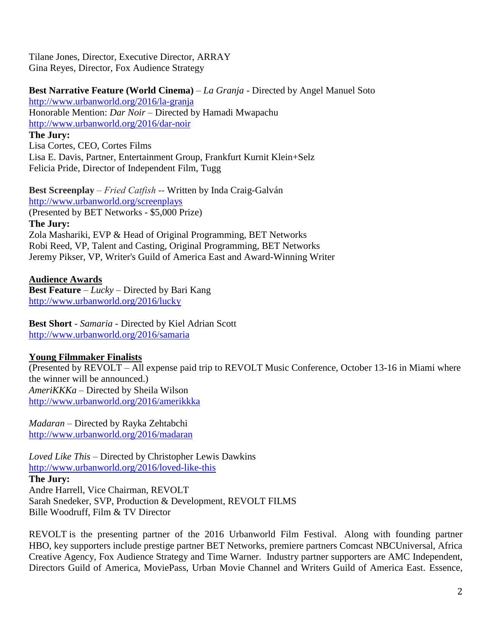Tilane Jones, Director, Executive Director, ARRAY Gina Reyes, Director, Fox Audience Strategy

**Best Narrative Feature (World Cinema)** – *La Granja* - Directed by Angel Manuel Soto <http://www.urbanworld.org/2016/la-granja> Honorable Mention: *Dar Noir* – Directed by Hamadi Mwapachu <http://www.urbanworld.org/2016/dar-noir> **The Jury:** Lisa Cortes, CEO, Cortes Films

Lisa E. Davis, Partner, Entertainment Group, Frankfurt Kurnit Klein+Selz Felicia Pride, Director of Independent Film, Tugg

**Best Screenplay** – *Fried Catfish* -- Written by Inda Craig-Galván <http://www.urbanworld.org/screenplays> (Presented by BET Networks - \$5,000 Prize) **The Jury:** Zola Mashariki, EVP & Head of Original Programming, BET Networks Robi Reed, VP, Talent and Casting, Original Programming, BET Networks Jeremy Pikser, VP, Writer's Guild of America East and Award-Winning Writer

**Audience Awards Best Feature** – *Lucky* – Directed by Bari Kang <http://www.urbanworld.org/2016/lucky>

**Best Short** - *Samaria* - Directed by Kiel Adrian Scott <http://www.urbanworld.org/2016/samaria>

#### **Young Filmmaker Finalists**

(Presented by REVOLT – All expense paid trip to REVOLT Music Conference, October 13-16 in Miami where the winner will be announced.) *AmeriKKKa* – Directed by Sheila Wilson <http://www.urbanworld.org/2016/amerikkka>

*Madaran* – Directed by Rayka Zehtabchi <http://www.urbanworld.org/2016/madaran>

*Loved Like This* – Directed by Christopher Lewis Dawkins <http://www.urbanworld.org/2016/loved-like-this> **The Jury:** Andre Harrell, Vice Chairman, REVOLT Sarah Snedeker, SVP, Production & Development, REVOLT FILMS Bille Woodruff, Film & TV Director

REVOLT is the presenting partner of the 2016 Urbanworld Film Festival. Along with founding partner HBO, key supporters include prestige partner BET Networks, premiere partners Comcast NBCUniversal, Africa Creative Agency, Fox Audience Strategy and Time Warner. Industry partner supporters are AMC Independent, Directors Guild of America, MoviePass, Urban Movie Channel and Writers Guild of America East. Essence,